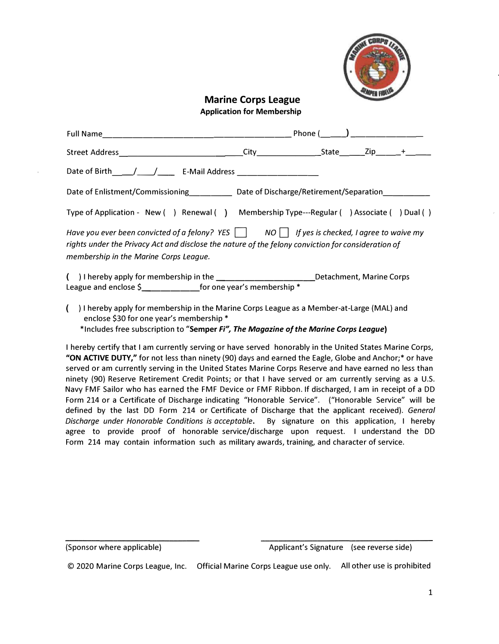

## **Marine Corps League Application for Membership**

|                                                                                                                                                                                                                                                       | Phone $(\_\_)$ _____________ |  |  |  |  |
|-------------------------------------------------------------------------------------------------------------------------------------------------------------------------------------------------------------------------------------------------------|------------------------------|--|--|--|--|
| Street Address____________________________                                                                                                                                                                                                            |                              |  |  |  |  |
|                                                                                                                                                                                                                                                       |                              |  |  |  |  |
| Date of Enlistment/Commissioning Date of Discharge/Retirement/Separation                                                                                                                                                                              |                              |  |  |  |  |
| Type of Application - New () Renewal () Membership Type---Regular () Associate () Dual ()                                                                                                                                                             |                              |  |  |  |  |
| Have you ever been convicted of a felony? YES $\Box$ NO $\Box$ If yes is checked, I agree to waive my<br>rights under the Privacy Act and disclose the nature of the felony conviction for consideration of<br>membership in the Marine Corps League. |                              |  |  |  |  |
| () I hereby apply for membership in the _________________________Detachment, Marine Corps<br>League and enclose $\sin \theta$ for one year's membership *                                                                                             |                              |  |  |  |  |

) I hereby apply for membership in the Marine Corps League as a Member-at-Large (MAL) and enclose \$30 for one year's membership\* \*Includes free subscription to **"Semper** *Fi", The Magazine of the Marine Corps League)*

I hereby certify that I am currently serving or have served honorably in the United States Marine Corps, **"ON ACTIVE DUTY,"** for not less than ninety(90) days and earned the Eagle, Globe and Anchor;\*or have served or am currently serving in the United States Marine Corps Reserve and have earned no less than ninety (90) Reserve Retirement Credit Points; or that I have served or am currently serving as a U.S. Navy FMF Sailor who has earned the FMF Device or FMF Ribbon. If discharged, I am in receipt of a DD Form 214 or a Certificate of Discharge indicating "Honorable Service". ("Honorable Service" will be defined by the last DD Form 214 or Certificate of Discharge that the applicant received). *General Discharge under Honorable Conditions is acceptable.* By signature on this application, I hereby agree to provide proof of honorable service/discharge upon request. I understand the DD Form 214 may contain information such as military awards, training, and character of service.

<sup>(</sup>Sponsor where applicable) and a subset of Applicant's Signature (see reverse side)

<sup>© 2020</sup> Marine Corps League, Inc. Official Marine Corps League use only. All other use is prohibited